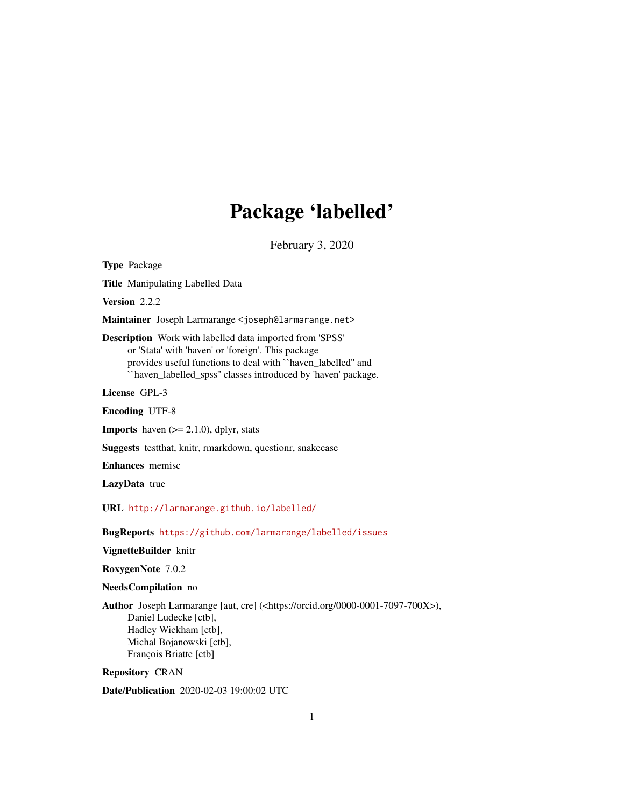# Package 'labelled'

February 3, 2020

<span id="page-0-0"></span>Type Package Title Manipulating Labelled Data Version 2.2.2 Maintainer Joseph Larmarange <joseph@larmarange.net> Description Work with labelled data imported from 'SPSS' or 'Stata' with 'haven' or 'foreign'. This package provides useful functions to deal with ``haven\_labelled'' and ``haven\_labelled\_spss'' classes introduced by 'haven' package. License GPL-3 Encoding UTF-8 **Imports** haven  $(>= 2.1.0)$ , dplyr, stats Suggests testthat, knitr, rmarkdown, questionr, snakecase Enhances memisc LazyData true URL <http://larmarange.github.io/labelled/>

BugReports <https://github.com/larmarange/labelled/issues>

VignetteBuilder knitr

RoxygenNote 7.0.2

NeedsCompilation no

Author Joseph Larmarange [aut, cre] (<https://orcid.org/0000-0001-7097-700X>), Daniel Ludecke [ctb], Hadley Wickham [ctb], Michal Bojanowski [ctb], François Briatte [ctb]

Repository CRAN

Date/Publication 2020-02-03 19:00:02 UTC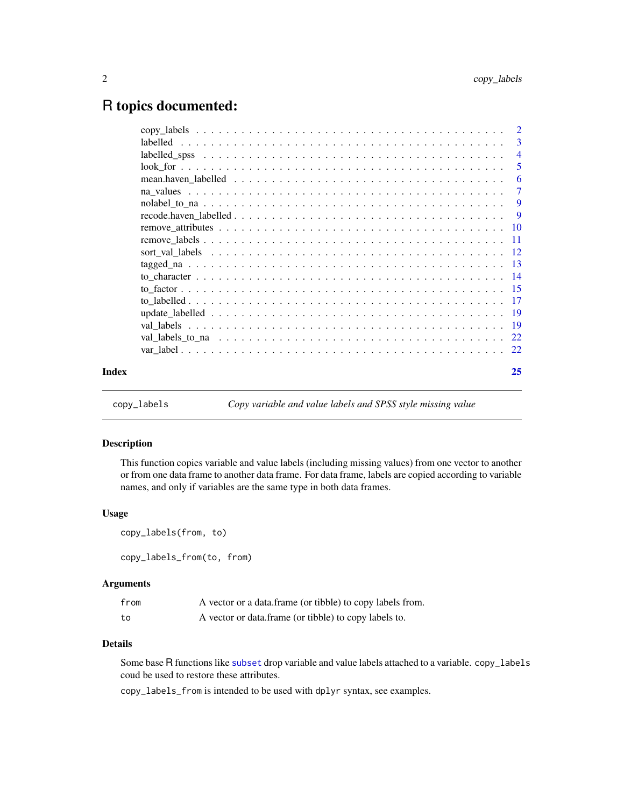# <span id="page-1-0"></span>R topics documented:

| Index | 25             |
|-------|----------------|
|       |                |
|       |                |
|       |                |
|       |                |
|       |                |
|       |                |
|       |                |
|       |                |
|       |                |
|       |                |
|       |                |
|       | - 9            |
|       |                |
|       | $\overline{7}$ |
|       | -6             |
|       | -5             |
|       | $\overline{4}$ |
|       | $\overline{3}$ |
|       |                |

copy\_labels *Copy variable and value labels and SPSS style missing value*

# Description

This function copies variable and value labels (including missing values) from one vector to another or from one data frame to another data frame. For data frame, labels are copied according to variable names, and only if variables are the same type in both data frames.

#### Usage

```
copy_labels(from, to)
```
copy\_labels\_from(to, from)

# Arguments

| from | A vector or a data.frame (or tibble) to copy labels from. |
|------|-----------------------------------------------------------|
| to   | A vector or data.frame (or tibble) to copy labels to.     |

## Details

Some base R functions like [subset](#page-0-0) drop variable and value labels attached to a variable. copy\_labels coud be used to restore these attributes.

copy\_labels\_from is intended to be used with dplyr syntax, see examples.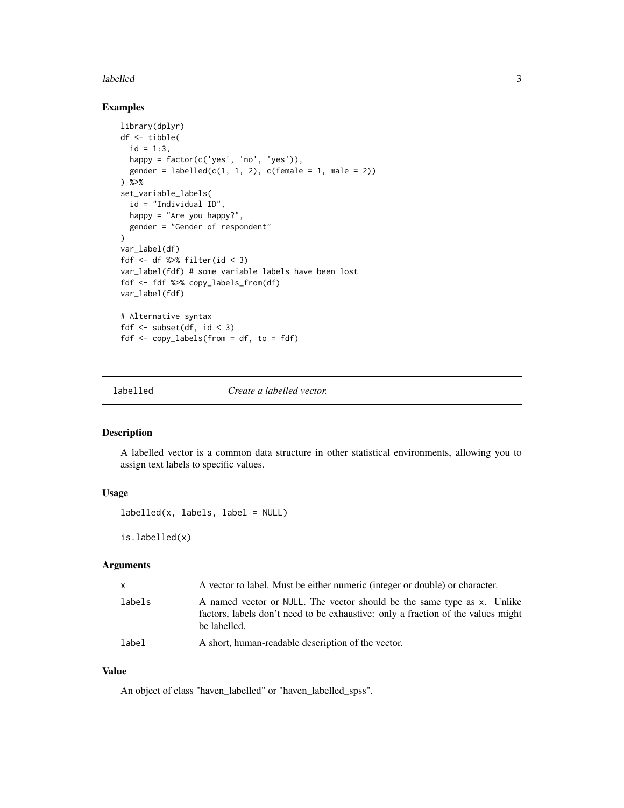#### <span id="page-2-0"></span>labelled 3

# Examples

```
library(dplyr)
df <- tibble(
  id = 1:3,happy = factor(c('yes', 'no', 'yes')),
  gender = labeled(c(1, 1, 2), c(female = 1, male = 2))) %>%
set_variable_labels(
  id = "Individual ID",
  happy = "Are you happy?",
  gender = "Gender of respondent"
)
var_label(df)
fdf \le df %>% filter(id \le 3)
var_label(fdf) # some variable labels have been lost
fdf <- fdf %>% copy_labels_from(df)
var_label(fdf)
# Alternative syntax
fdf <- subset(df, id < 3)
fdf \leq copy_labels(from = df, to = fdf)
```
<span id="page-2-1"></span>

labelled *Create a labelled vector.*

#### Description

A labelled vector is a common data structure in other statistical environments, allowing you to assign text labels to specific values.

# Usage

```
label(x, labels, label = NULL)
```
is.labelled(x)

#### Arguments

| $\mathsf{x}$ | A vector to label. Must be either numeric (integer or double) or character.                                                                                                 |
|--------------|-----------------------------------------------------------------------------------------------------------------------------------------------------------------------------|
| labels       | A named vector or NULL. The vector should be the same type as x. Unlike<br>factors, labels don't need to be exhaustive: only a fraction of the values might<br>be labelled. |
| label        | A short, human-readable description of the vector.                                                                                                                          |

# Value

An object of class "haven\_labelled" or "haven\_labelled\_spss".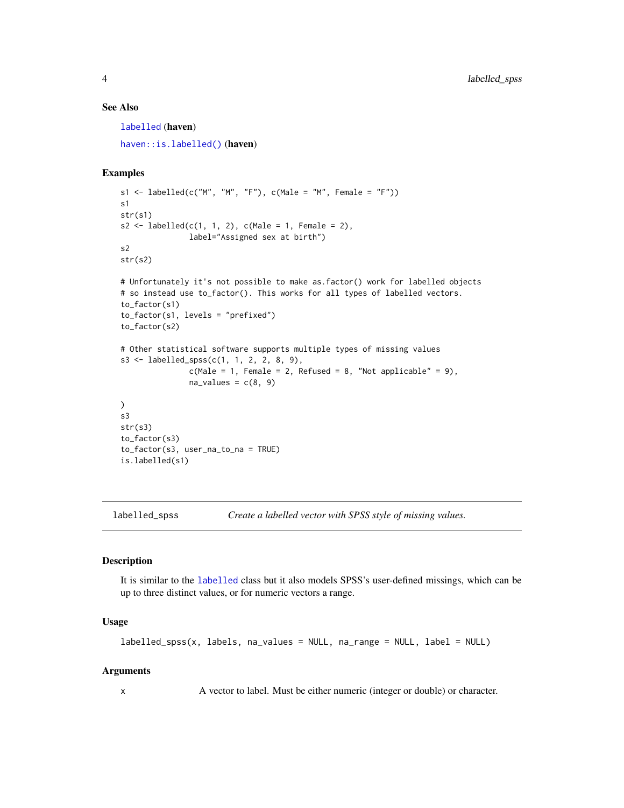# <span id="page-3-0"></span>See Also

[labelled](#page-2-1) (haven) [haven::is.labelled\(\)](#page-0-0) (haven)

#### Examples

```
s1 <- labelled(c("M", "M", "F"), c(Male = "M", Female = "F"))
s1
str(s1)
s2 \leq - labelled(c(1, 1, 2), c(Male = 1, Female = 2),
               label="Assigned sex at birth")
s2
str(s2)
# Unfortunately it's not possible to make as.factor() work for labelled objects
# so instead use to_factor(). This works for all types of labelled vectors.
```

```
to_factor(s1)
to_factor(s1, levels = "prefixed")
to_factor(s2)
# Other statistical software supports multiple types of missing values
s3 \leq 1abelled_spss(c(1, 1, 2, 2, 8, 9),
               c(Male = 1, Female = 2, Refused = 8, "Not applicable" = 9),na\_values = c(8, 9)\mathcal{L}s3
str(s3)
to_factor(s3)
```

```
to_factor(s3, user_na_to_na = TRUE)
is.labelled(s1)
```
<span id="page-3-1"></span>labelled\_spss *Create a labelled vector with SPSS style of missing values.*

# Description

It is similar to the [labelled](#page-2-1) class but it also models SPSS's user-defined missings, which can be up to three distinct values, or for numeric vectors a range.

#### Usage

```
labelled_spss(x, labels, na_values = NULL, na_range = NULL, label = NULL)
```
#### Arguments

x A vector to label. Must be either numeric (integer or double) or character.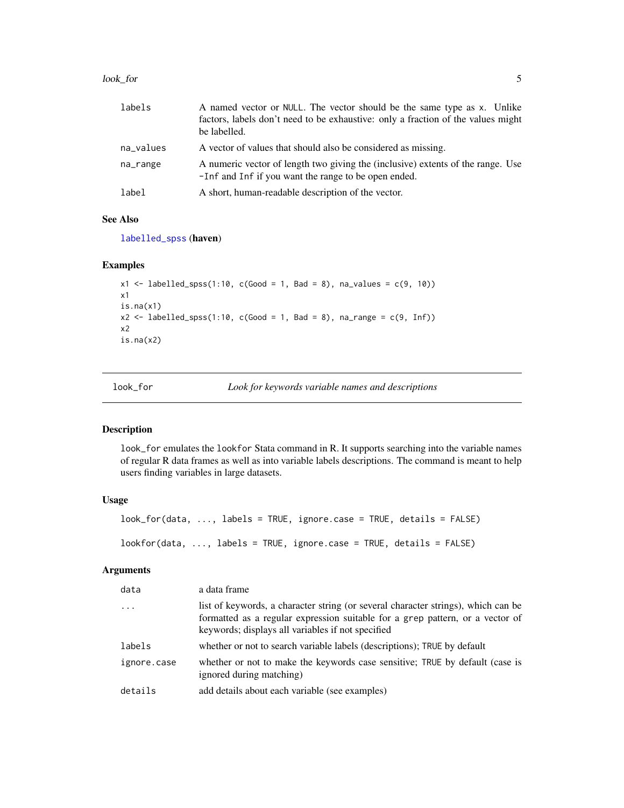#### <span id="page-4-0"></span>look\_for 5

| labels    | A named vector or NULL. The vector should be the same type as x. Unlike<br>factors, labels don't need to be exhaustive: only a fraction of the values might<br>be labelled. |
|-----------|-----------------------------------------------------------------------------------------------------------------------------------------------------------------------------|
| na_values | A vector of values that should also be considered as missing.                                                                                                               |
| na_range  | A numeric vector of length two giving the (inclusive) extents of the range. Use<br>-Inf and Inf if you want the range to be open ended.                                     |
| label     | A short, human-readable description of the vector.                                                                                                                          |

# See Also

[labelled\\_spss](#page-3-1) (haven)

# Examples

```
x1 <- labelled_spss(1:10, c(Good = 1, Bad = 8), na_values = c(9, 10))
x1
is.na(x1)
x2 \leq - labelled_spss(1:10, c(Good = 1, Bad = 8), na_range = c(9, Inf))
x2
is.na(x2)
```
look\_for *Look for keywords variable names and descriptions*

#### Description

look\_for emulates the lookfor Stata command in R. It supports searching into the variable names of regular R data frames as well as into variable labels descriptions. The command is meant to help users finding variables in large datasets.

# Usage

```
look_for(data, ..., labels = TRUE, ignore.case = TRUE, details = FALSE)
lookfor(data, ..., labels = TRUE, ignore.case = TRUE, details = FALSE)
```
#### Arguments

| data        | a data frame                                                                                                                                                                                                            |
|-------------|-------------------------------------------------------------------------------------------------------------------------------------------------------------------------------------------------------------------------|
| $\ddots$    | list of keywords, a character string (or several character strings), which can be<br>formatted as a regular expression suitable for a grep pattern, or a vector of<br>keywords; displays all variables if not specified |
| labels      | whether or not to search variable labels (descriptions); TRUE by default                                                                                                                                                |
| ignore.case | whether or not to make the keywords case sensitive; TRUE by default (case is<br>ignored during matching)                                                                                                                |
| details     | add details about each variable (see examples)                                                                                                                                                                          |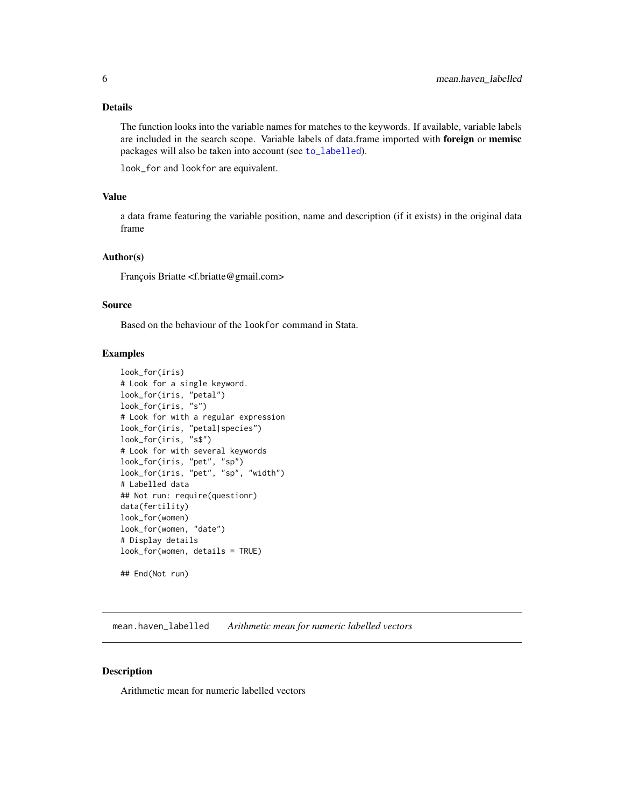# <span id="page-5-0"></span>Details

The function looks into the variable names for matches to the keywords. If available, variable labels are included in the search scope. Variable labels of data.frame imported with foreign or memisc packages will also be taken into account (see [to\\_labelled](#page-16-1)).

look\_for and lookfor are equivalent.

# Value

a data frame featuring the variable position, name and description (if it exists) in the original data frame

#### Author(s)

François Briatte <f.briatte@gmail.com>

#### Source

Based on the behaviour of the lookfor command in Stata.

# Examples

```
look_for(iris)
# Look for a single keyword.
look_for(iris, "petal")
look_for(iris, "s")
# Look for with a regular expression
look_for(iris, "petal|species")
look_for(iris, "s$")
# Look for with several keywords
look_for(iris, "pet", "sp")
look_for(iris, "pet", "sp", "width")
# Labelled data
## Not run: require(questionr)
data(fertility)
look_for(women)
look_for(women, "date")
# Display details
look_for(women, details = TRUE)
```
## End(Not run)

mean.haven\_labelled *Arithmetic mean for numeric labelled vectors*

#### Description

Arithmetic mean for numeric labelled vectors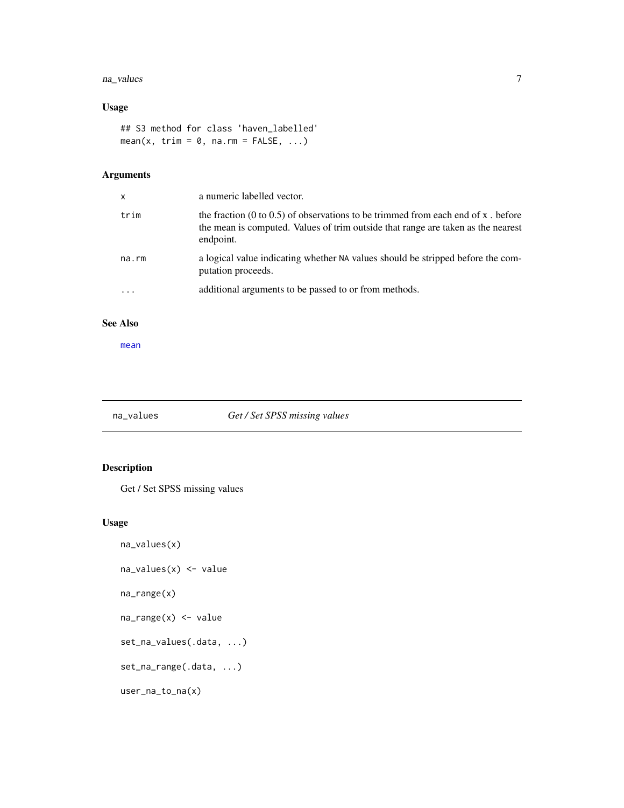#### <span id="page-6-0"></span>na\_values 7

# Usage

## S3 method for class 'haven\_labelled' mean(x, trim =  $0$ , na.rm = FALSE, ...)

# Arguments

| X        | a numeric labelled vector.                                                                                                                                                        |
|----------|-----------------------------------------------------------------------------------------------------------------------------------------------------------------------------------|
| trim     | the fraction (0 to 0.5) of observations to be trimmed from each end of x, before<br>the mean is computed. Values of trim outside that range are taken as the nearest<br>endpoint. |
| na.rm    | a logical value indicating whether NA values should be stripped before the com-<br>putation proceeds.                                                                             |
| $\cdots$ | additional arguments to be passed to or from methods.                                                                                                                             |

#### See Also

[mean](#page-0-0)

# na\_values *Get / Set SPSS missing values*

# <span id="page-6-1"></span>Description

Get / Set SPSS missing values

# Usage

```
na_values(x)
na_values(x) <- value
na_range(x)
na_range(x) <- value
set_na_values(.data, ...)
set_na_range(.data, ...)
user_na_to_na(x)
```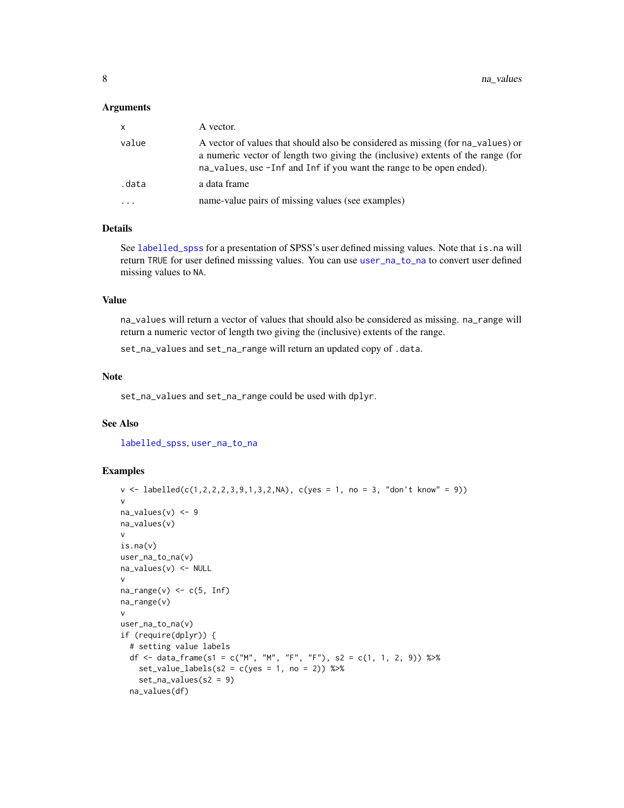#### <span id="page-7-0"></span>**Arguments**

| X       | A vector.                                                                                                                                                                                                                                  |
|---------|--------------------------------------------------------------------------------------------------------------------------------------------------------------------------------------------------------------------------------------------|
| value   | A vector of values that should also be considered as missing (for na values) or<br>a numeric vector of length two giving the (inclusive) extents of the range (for<br>na_values, use -Inf and Inf if you want the range to be open ended). |
| .data   | a data frame                                                                                                                                                                                                                               |
| $\cdot$ | name-value pairs of missing values (see examples)                                                                                                                                                                                          |

#### Details

See [labelled\\_spss](#page-3-1) for a presentation of SPSS's user defined missing values. Note that is.na will return TRUE for user defined misssing values. You can use [user\\_na\\_to\\_na](#page-6-1) to convert user defined missing values to NA.

#### Value

na\_values will return a vector of values that should also be considered as missing. na\_range will return a numeric vector of length two giving the (inclusive) extents of the range.

set\_na\_values and set\_na\_range will return an updated copy of .data.

# Note

set\_na\_values and set\_na\_range could be used with dplyr.

#### See Also

[labelled\\_spss](#page-3-1), [user\\_na\\_to\\_na](#page-6-1)

```
v \leq 1abelled(c(1,2,2,2,3,9,1,3,2,NA), c(yes = 1, no = 3, "don't know" = 9))
v
na_values(v) < -9na_values(v)
v
is.na(v)
user_na_to_na(v)
na_values(v) <- NULL
v
na\_range(v) \leq c(5, Inf)na_range(v)
v
user_na_to_na(v)
if (require(dplyr)) {
  # setting value labels
  df <- data_frame(s1 = c("M", "M", "F", "F"), s2 = c(1, 1, 2, 9)) %>%
   set_value_labels(s2 = c(yes = 1, no = 2)) %>%
   set_na_values(s2 = 9)
  na_values(df)
```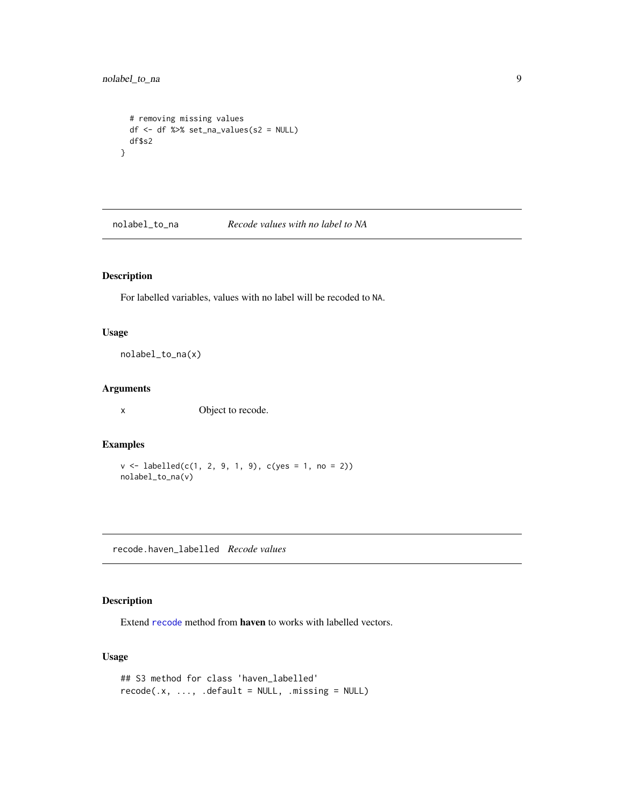# <span id="page-8-0"></span>nolabel\_to\_na 9

```
# removing missing values
 df <- df %>% set_na_values(s2 = NULL)
 df$s2
}
```
nolabel\_to\_na *Recode values with no label to NA*

# Description

For labelled variables, values with no label will be recoded to NA.

# Usage

```
nolabel_to_na(x)
```
# Arguments

x Object to recode.

# Examples

```
v \le labelled(c(1, 2, 9, 1, 9), c(yes = 1, no = 2))
nolabel_to_na(v)
```
recode.haven\_labelled *Recode values*

# Description

Extend [recode](#page-0-0) method from haven to works with labelled vectors.

# Usage

```
## S3 method for class 'haven_labelled'
recode(x, ..., .default = NULL, .missing = NULL)
```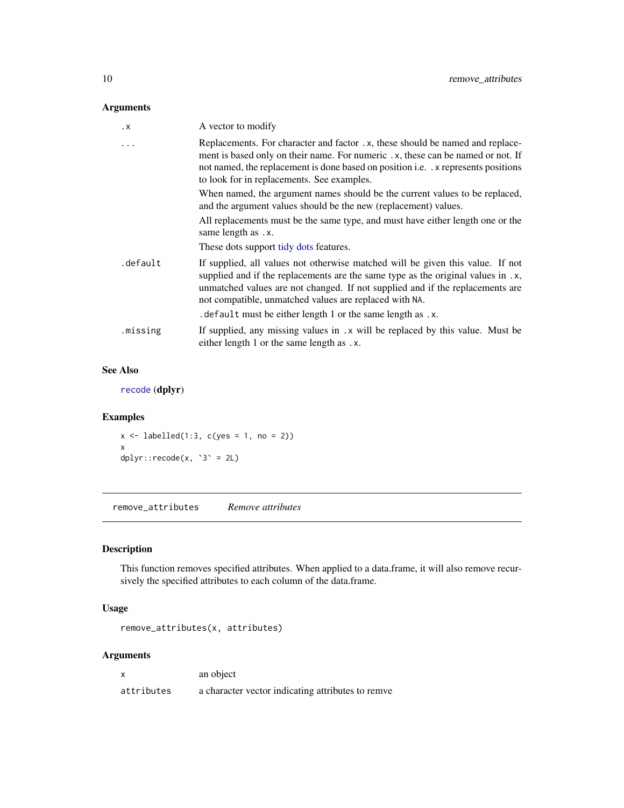# <span id="page-9-0"></span>Arguments

| . X       | A vector to modify                                                                                                                                                                                                                                                                                            |
|-----------|---------------------------------------------------------------------------------------------------------------------------------------------------------------------------------------------------------------------------------------------------------------------------------------------------------------|
| $\ddotsc$ | Replacements. For character and factor . x, these should be named and replace-<br>ment is based only on their name. For numeric .x, these can be named or not. If<br>not named, the replacement is done based on position i.e. x represents positions<br>to look for in replacements. See examples.           |
|           | When named, the argument names should be the current values to be replaced,<br>and the argument values should be the new (replacement) values.                                                                                                                                                                |
|           | All replacements must be the same type, and must have either length one or the<br>same length as .x.                                                                                                                                                                                                          |
|           | These dots support tidy dots features.                                                                                                                                                                                                                                                                        |
| .default  | If supplied, all values not otherwise matched will be given this value. If not<br>supplied and if the replacements are the same type as the original values in .x,<br>unmatched values are not changed. If not supplied and if the replacements are<br>not compatible, unmatched values are replaced with NA. |
|           | . default must be either length 1 or the same length as .x.                                                                                                                                                                                                                                                   |
| .missing  | If supplied, any missing values in .x will be replaced by this value. Must be<br>either length 1 or the same length as .x.                                                                                                                                                                                    |

# See Also

[recode](#page-0-0) (dplyr)

# Examples

 $x \le -$  labelled(1:3, c(yes = 1, no = 2)) x  $dplyr::recode(x, '3' = 2L)$ 

remove\_attributes *Remove attributes*

# Description

This function removes specified attributes. When applied to a data.frame, it will also remove recursively the specified attributes to each column of the data.frame.

# Usage

```
remove_attributes(x, attributes)
```
# Arguments

|            | an object                                         |
|------------|---------------------------------------------------|
| attributes | a character vector indicating attributes to remve |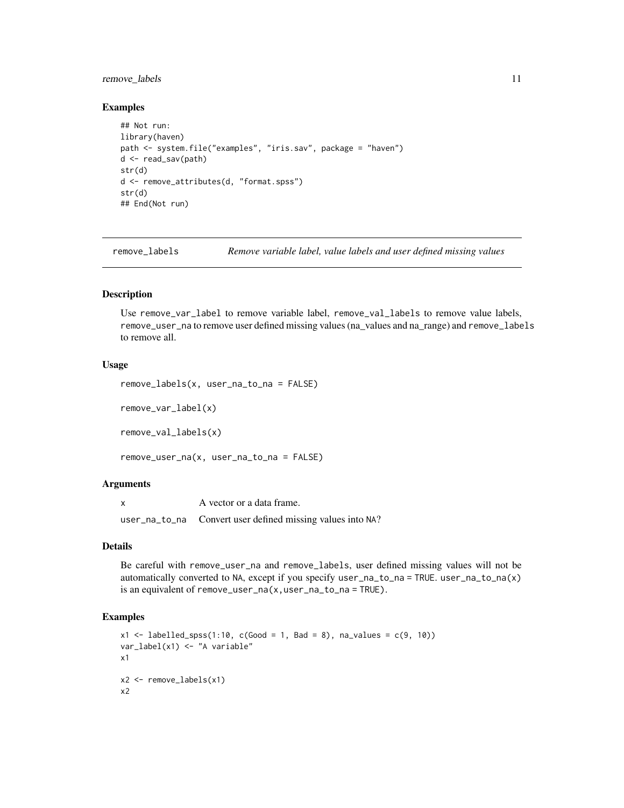# <span id="page-10-0"></span>remove\_labels 11

#### Examples

```
## Not run:
library(haven)
path <- system.file("examples", "iris.sav", package = "haven")
d <- read_sav(path)
str(d)
d <- remove_attributes(d, "format.spss")
str(d)
## End(Not run)
```
remove\_labels *Remove variable label, value labels and user defined missing values*

#### Description

Use remove\_var\_label to remove variable label, remove\_val\_labels to remove value labels, remove\_user\_na to remove user defined missing values (na\_values and na\_range) and remove\_labels to remove all.

# Usage

```
remove_labels(x, user_na_to_na = FALSE)
remove_var_label(x)
```
remove\_val\_labels(x)

```
remove_user_na(x, user_na_to_na = FALSE)
```
#### Arguments

| A vector or a data frame.                                  |
|------------------------------------------------------------|
| user_na_to_na Convert user defined missing values into NA? |

# Details

Be careful with remove\_user\_na and remove\_labels, user defined missing values will not be automatically converted to NA, except if you specify user\_na\_to\_na = TRUE. user\_na\_to\_na(x) is an equivalent of remove\_user\_na(x,user\_na\_to\_na = TRUE).

```
x1 \le - labelled_spss(1:10, c(Good = 1, Bad = 8), na_values = c(9, 10))
var_label(x1) <- "A variable"
x1
x2 <- remove_labels(x1)
x2
```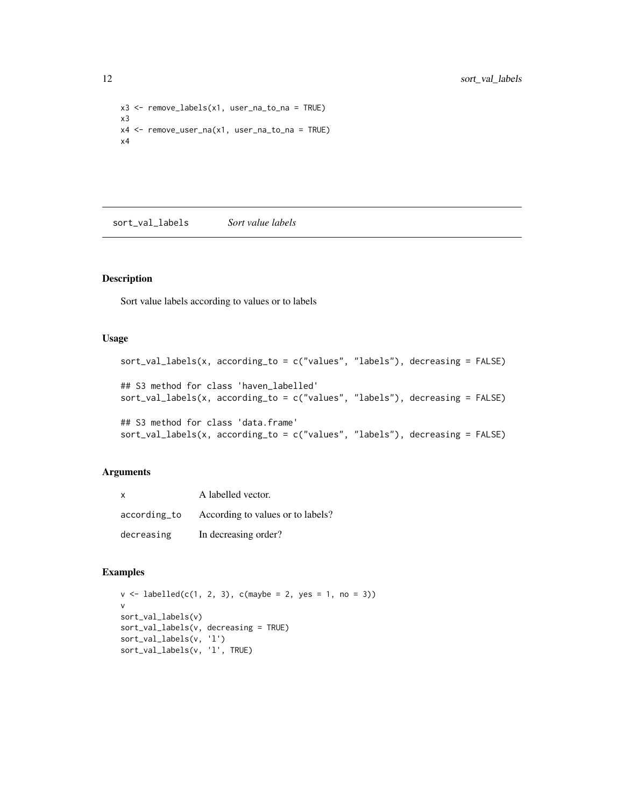```
x3 <- remove_labels(x1, user_na_to_na = TRUE)
x3
x4 <- remove_user_na(x1, user_na_to_na = TRUE)
x4
```
sort\_val\_labels *Sort value labels*

#### Description

Sort value labels according to values or to labels

#### Usage

```
sort_val_labels(x, according_to = c("values", "labels"), decreasing = FALSE)
## S3 method for class 'haven_labelled'
sort_val_labels(x, according_to = c("values", "labels"), decreasing = FALSE)
## S3 method for class 'data.frame'
sort_val_labels(x, according_to = c("values", "labels"), decreasing = FALSE)
```
# Arguments

| $\mathsf{x}$ | A labelled vector.                |
|--------------|-----------------------------------|
| according_to | According to values or to labels? |
| decreasing   | In decreasing order?              |

```
v \le labelled(c(1, 2, 3), c(maybe = 2, yes = 1, no = 3))
v
sort_val_labels(v)
sort_val_labels(v, decreasing = TRUE)
sort_val_labels(v, 'l')
sort_val_labels(v, 'l', TRUE)
```
<span id="page-11-0"></span>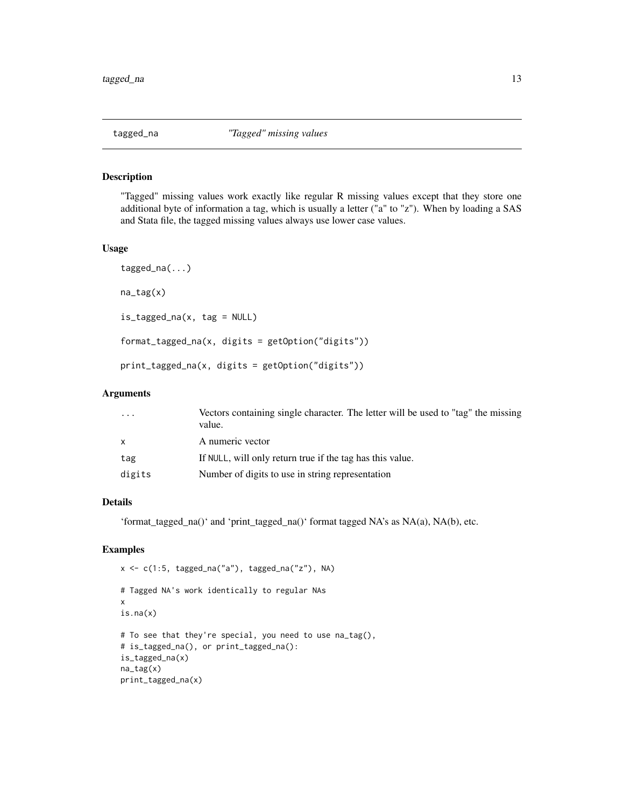<span id="page-12-0"></span>

#### Description

"Tagged" missing values work exactly like regular R missing values except that they store one additional byte of information a tag, which is usually a letter ("a" to "z"). When by loading a SAS and Stata file, the tagged missing values always use lower case values.

# Usage

```
tagged_na(...)
na_tag(x)
is_tagged_na(x, tag = NULL)
format_tagged_na(x, digits = getOption("digits"))
print_tagged_na(x, digits = getOption("digits"))
```
#### Arguments

| $\cdots$ | Vectors containing single character. The letter will be used to "tag" the missing<br>value. |
|----------|---------------------------------------------------------------------------------------------|
| x        | A numeric vector                                                                            |
| tag      | If NULL, will only return true if the tag has this value.                                   |
| digits   | Number of digits to use in string representation                                            |

# Details

'format\_tagged\_na()' and 'print\_tagged\_na()' format tagged NA's as NA(a), NA(b), etc.

```
x \leq c(1:5, tagged_na("a"), tagged_na("z"), NA)# Tagged NA's work identically to regular NAs
x
is.na(x)
# To see that they're special, you need to use na_tag(),
# is_tagged_na(), or print_tagged_na():
is_tagged_na(x)
na_tag(x)
print_tagged_na(x)
```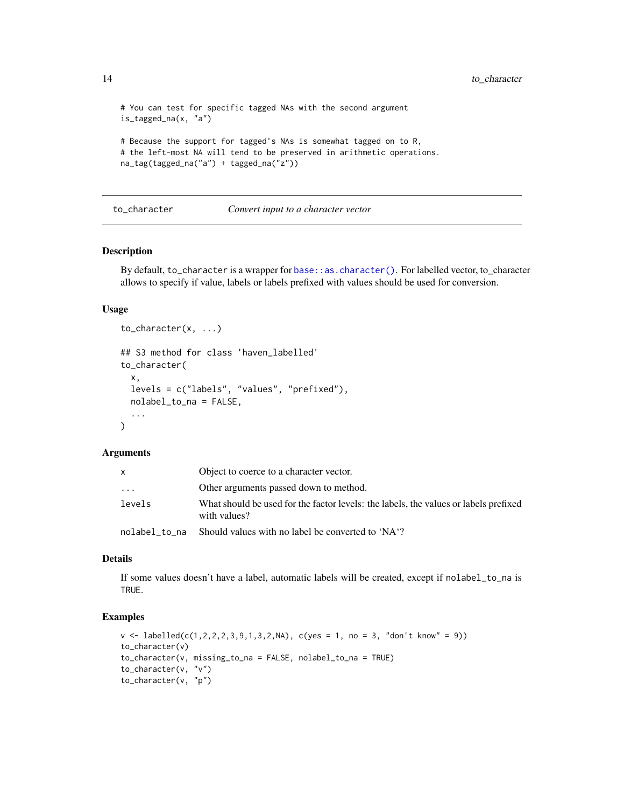```
# You can test for specific tagged NAs with the second argument
is_tagged_na(x, "a")
# Because the support for tagged's NAs is somewhat tagged on to R,
# the left-most NA will tend to be preserved in arithmetic operations.
na_tag(tagged_na("a") + tagged_na("z"))
```
#### to\_character *Convert input to a character vector*

#### Description

By default, to\_character is a wrapper for [base::as.character\(\)](#page-0-0). For labelled vector, to\_character allows to specify if value, labels or labels prefixed with values should be used for conversion.

# Usage

```
to_character(x, ...)
## S3 method for class 'haven_labelled'
to_character(
  x,
 levels = c("labels", "values", "prefixed"),
 nolabel_to_na = FALSE,
  ...
)
```
#### Arguments

| x             | Object to coerce to a character vector.                                                              |
|---------------|------------------------------------------------------------------------------------------------------|
| .             | Other arguments passed down to method.                                                               |
| levels        | What should be used for the factor levels: the labels, the values or labels prefixed<br>with values? |
| nolabel to na | Should values with no label be converted to 'NA'?                                                    |

# Details

If some values doesn't have a label, automatic labels will be created, except if nolabel\_to\_na is TRUE.

```
v \leq 1abelled(c(1,2,2,2,3,9,1,3,2,NA), c(yes = 1, no = 3, "don't know" = 9))
to_character(v)
to_character(v, missing_to_na = FALSE, nolabel_to_na = TRUE)
to_character(v, "v")
to_character(v, "p")
```
<span id="page-13-0"></span>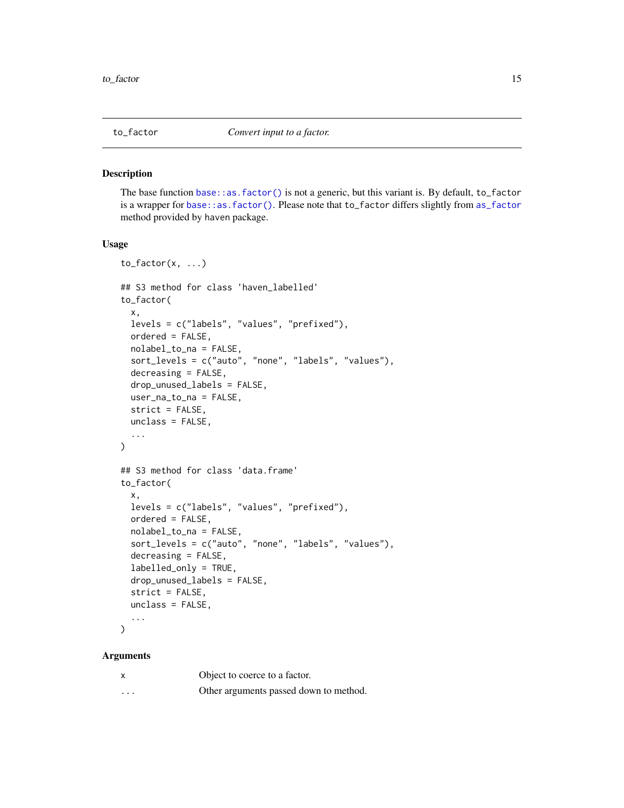# <span id="page-14-1"></span><span id="page-14-0"></span>Description

The base function [base::as.factor\(\)](#page-0-0) is not a generic, but this variant is. By default, to\_factor is a wrapper for [base::as.factor\(\)](#page-0-0). Please note that to\_factor differs slightly from [as\\_factor](#page-0-0) method provided by haven package.

#### Usage

```
to_factor(x, \ldots)## S3 method for class 'haven_labelled'
to_factor(
 x,
  levels = c("labels", "values", "prefixed"),
 ordered = FALSE,
 nolabel_to_na = FALSE,
  sort_levels = c("auto", "none", "labels", "values"),
  decreasing = FALSE,
  drop_unused_labels = FALSE,
 user_na_to_na = FALSE,
  strict = FALSE,
 unclass = FALSE,
  ...
\mathcal{L}## S3 method for class 'data.frame'
to_factor(
  x,
 levels = c("labels", "values", "prefixed"),
 ordered = FALSE,
 nolabel_to_na = FALSE,
  sort_levels = c("auto", "none", "labels", "values"),
  decreasing = FALSE,
  labelled_only = TRUE,
 drop_unused_labels = FALSE,
  strict = FALSE,
 unclass = FALSE,
  ...
\mathcal{L}
```
#### Arguments

|          | Object to coerce to a factor.          |
|----------|----------------------------------------|
| $\cdots$ | Other arguments passed down to method. |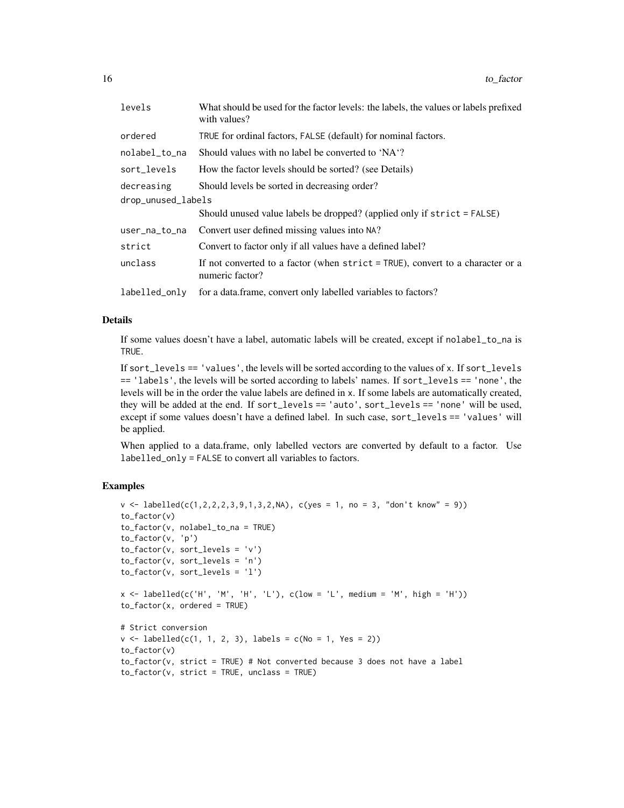| levels             | What should be used for the factor levels: the labels, the values or labels prefixed<br>with values? |
|--------------------|------------------------------------------------------------------------------------------------------|
| ordered            | TRUE for ordinal factors, FALSE (default) for nominal factors.                                       |
| nolabel_to_na      | Should values with no label be converted to 'NA'?                                                    |
| sort_levels        | How the factor levels should be sorted? (see Details)                                                |
| decreasing         | Should levels be sorted in decreasing order?                                                         |
| drop_unused_labels |                                                                                                      |
|                    | Should unused value labels be dropped? (applied only if strict = FALSE)                              |
| user_na_to_na      | Convert user defined missing values into NA?                                                         |
| strict             | Convert to factor only if all values have a defined label?                                           |
| unclass            | If not converted to a factor (when $strict = TRUE$ ), convert to a character or a<br>numeric factor? |
| labelled_only      | for a data.frame, convert only labelled variables to factors?                                        |

#### Details

If some values doesn't have a label, automatic labels will be created, except if nolabel\_to\_na is TRUE.

If sort\_levels == 'values', the levels will be sorted according to the values of x. If sort\_levels == 'labels', the levels will be sorted according to labels' names. If sort\_levels == 'none', the levels will be in the order the value labels are defined in x. If some labels are automatically created, they will be added at the end. If sort\_levels == 'auto', sort\_levels == 'none' will be used, except if some values doesn't have a defined label. In such case, sort\_levels == 'values' will be applied.

When applied to a data.frame, only labelled vectors are converted by default to a factor. Use labelled\_only = FALSE to convert all variables to factors.

```
v \leq 1abelled(c(1,2,2,2,3,9,1,3,2,NA), c(yes = 1, no = 3, "don't know" = 9))
to_factor(v)
to_factor(v, nolabel_to_na = TRUE)
to_factor(v, 'p')
to_factor(v, sort_levels = 'v')
to_factor(v, sort_levels = 'n')
to_factor(v, sort_levels = 'l')
x \leq labelled(c('H', 'M', 'H', 'L'), c(low = 'L', medium = 'M', high = 'H'))
to_factor(x, ordered = TRUE)
# Strict conversion
v \le labelled(c(1, 1, 2, 3), labels = c(No = 1, Yes = 2))
to_factor(v)
to_factor(v, strict = TRUE) # Not converted because 3 does not have a label
to_factor(v, strict = TRUE, unclass = TRUE)
```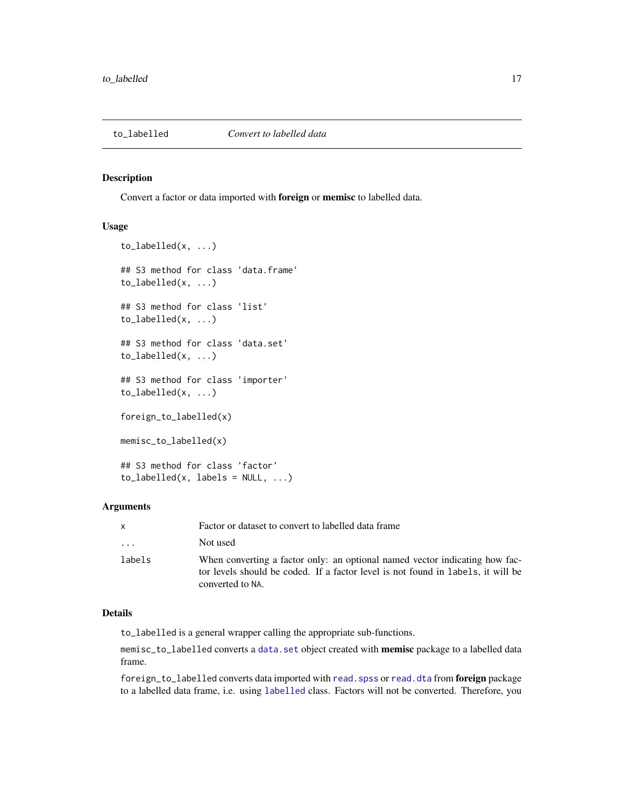<span id="page-16-1"></span><span id="page-16-0"></span>

#### Description

Convert a factor or data imported with foreign or memisc to labelled data.

#### Usage

```
to_labelled(x, ...)
## S3 method for class 'data.frame'
to_labelled(x, ...)
## S3 method for class 'list'
to_labelled(x, ...)
## S3 method for class 'data.set'
to_labelled(x, ...)
## S3 method for class 'importer'
to_labelled(x, ...)
foreign_to_labelled(x)
memisc_to_labelled(x)
## S3 method for class 'factor'
to [labelled(x, labels = NULL, \dots)
```
# Arguments

| X                       | Factor or dataset to convert to labelled data frame                                                                                                                                 |
|-------------------------|-------------------------------------------------------------------------------------------------------------------------------------------------------------------------------------|
| $\cdot$ $\cdot$ $\cdot$ | Not used                                                                                                                                                                            |
| labels                  | When converting a factor only: an optional named vector indicating how fac-<br>tor levels should be coded. If a factor level is not found in labels, it will be<br>converted to NA. |

# Details

to\_labelled is a general wrapper calling the appropriate sub-functions.

memisc\_to\_labelled converts a [data.set](#page-0-0) object created with memisc package to a labelled data frame.

foreign\_to\_labelled converts data imported with read. spss or [read.dta](#page-0-0) from foreign package to a labelled data frame, i.e. using [labelled](#page-2-1) class. Factors will not be converted. Therefore, you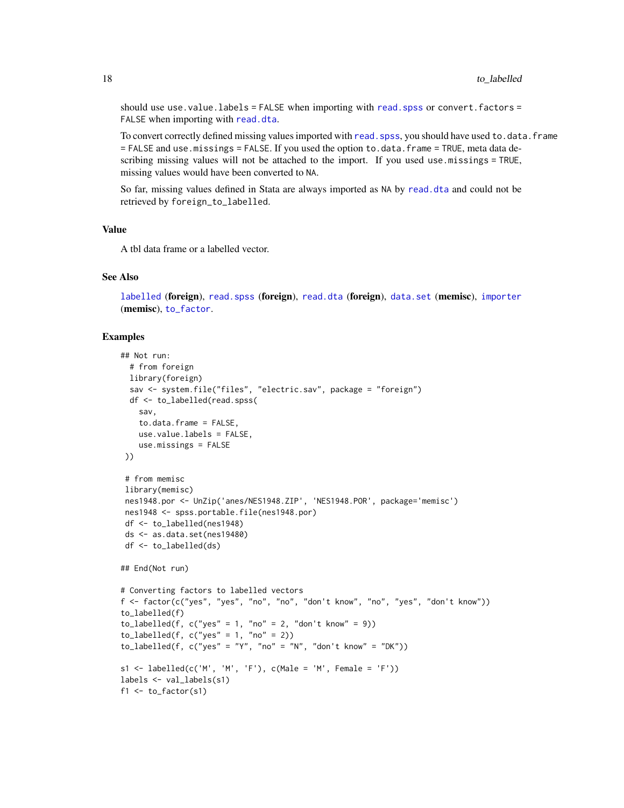<span id="page-17-0"></span>should use use.value.labels = FALSE when importing with [read.spss](#page-0-0) or convert.factors = FALSE when importing with [read.dta](#page-0-0).

To convert correctly defined missing values imported with read. spss, you should have used to.data.frame = FALSE and use.missings = FALSE. If you used the option to.data.frame = TRUE, meta data describing missing values will not be attached to the import. If you used use.missings = TRUE, missing values would have been converted to NA.

So far, missing values defined in Stata are always imported as NA by [read.dta](#page-0-0) and could not be retrieved by foreign\_to\_labelled.

#### Value

A tbl data frame or a labelled vector.

#### See Also

[labelled](#page-2-1) (foreign), [read.spss](#page-0-0) (foreign), [read.dta](#page-0-0) (foreign), [data.set](#page-0-0) (memisc), [importer](#page-0-0) (memisc), [to\\_factor](#page-14-1).

```
## Not run:
 # from foreign
 library(foreign)
 sav <- system.file("files", "electric.sav", package = "foreign")
 df <- to_labelled(read.spss(
   sav,
   to.data.frame = FALSE,
   use.value.labels = FALSE,
   use.missings = FALSE
))
 # from memisc
library(memisc)
nes1948.por <- UnZip('anes/NES1948.ZIP', 'NES1948.POR', package='memisc')
nes1948 <- spss.portable.file(nes1948.por)
df <- to_labelled(nes1948)
ds <- as.data.set(nes19480)
df <- to_labelled(ds)
## End(Not run)
# Converting factors to labelled vectors
f <- factor(c("yes", "yes", "no", "no", "don't know", "no", "yes", "don't know"))
to_labelled(f)
to_labelled(f, c("yes" = 1, "no" = 2, "don't know" = 9))
to_labelled(f, c("yes" = 1, "no" = 2))to_labelled(f, c("yes" = "Y", "no" = "N", "don't know" = "DK"))
s1 <- labelled(c('M', 'M', 'F'), c(Male = 'M', Female = 'F'))
labels <- val_labels(s1)
f1 \leftarrow to_factor(s1)
```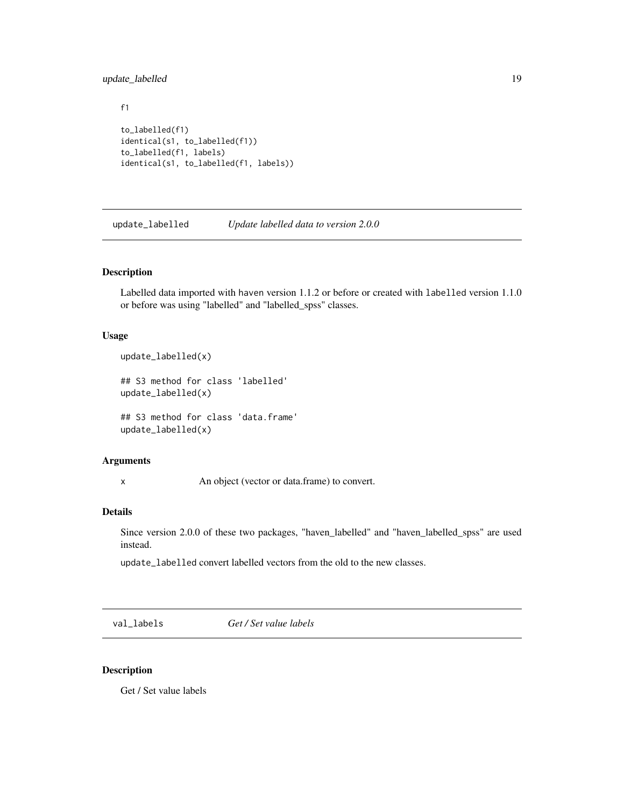# <span id="page-18-0"></span>update\_labelled 19

```
f1
to_labelled(f1)
identical(s1, to_labelled(f1))
to_labelled(f1, labels)
identical(s1, to_labelled(f1, labels))
```
update\_labelled *Update labelled data to version 2.0.0*

#### Description

Labelled data imported with haven version 1.1.2 or before or created with labelled version 1.1.0 or before was using "labelled" and "labelled\_spss" classes.

# Usage

```
update_labelled(x)
```
## S3 method for class 'labelled' update\_labelled(x)

## S3 method for class 'data.frame' update\_labelled(x)

#### Arguments

x An object (vector or data.frame) to convert.

#### Details

Since version 2.0.0 of these two packages, "haven\_labelled" and "haven\_labelled\_spss" are used instead.

update\_labelled convert labelled vectors from the old to the new classes.

<span id="page-18-1"></span>val\_labels *Get / Set value labels*

## Description

Get / Set value labels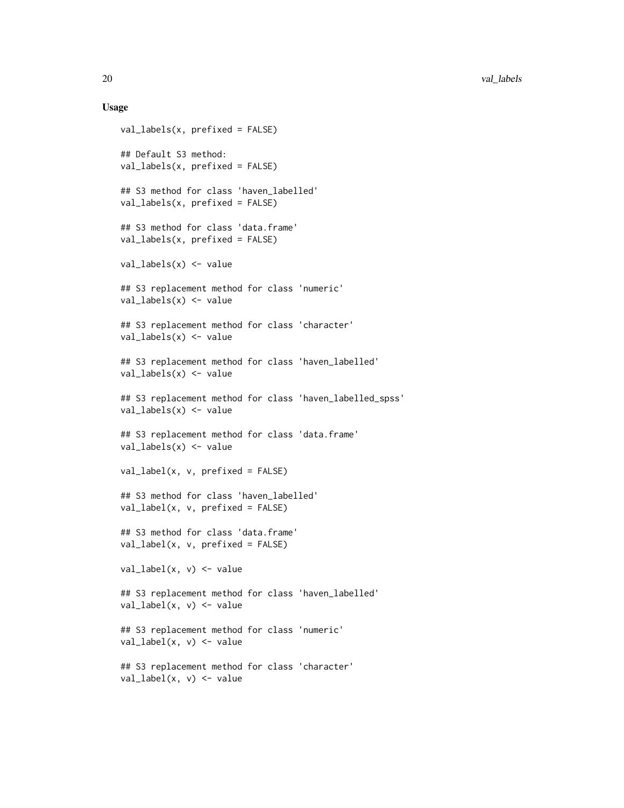#### Usage

```
val_labels(x, prefixed = FALSE)
## Default S3 method:
val_labels(x, prefixed = FALSE)
## S3 method for class 'haven_labelled'
val_labels(x, prefixed = FALSE)
## S3 method for class 'data.frame'
val_labels(x, prefixed = FALSE)
val_labels(x) <- value
## S3 replacement method for class 'numeric'
val_labels(x) <- value
## S3 replacement method for class 'character'
val_labels(x) <- value
## S3 replacement method for class 'haven_labelled'
val\_labels(x) \leq value## S3 replacement method for class 'haven_labelled_spss'
val_labels(x) <- value
## S3 replacement method for class 'data.frame'
val_labels(x) <- value
val_label(x, v, prefixed = FALSE)
## S3 method for class 'haven_labelled'
val\_label(x, v, prefixed = FALSE)## S3 method for class 'data.frame'
val\_label(x, v, prefixed = FALSE)val\_label(x, v) \leftarrow value## S3 replacement method for class 'haven_labelled'
val_label(x, v) <- value
## S3 replacement method for class 'numeric'
val_label(x, v) <- value
## S3 replacement method for class 'character'
val_label(x, v) <- value
```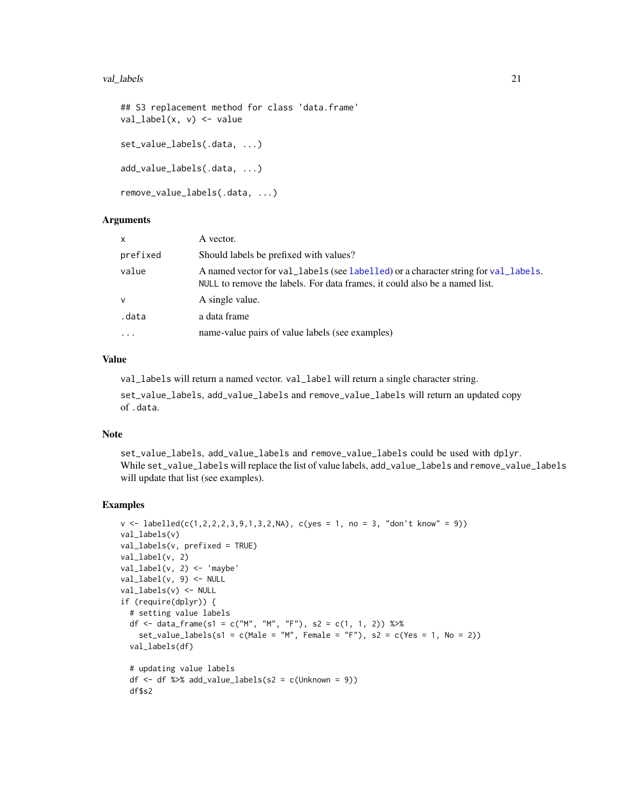#### <span id="page-20-0"></span>val\_labels 21

```
## S3 replacement method for class 'data.frame'
val_label(x, v) <- value
set_value_labels(.data, ...)
add_value_labels(.data, ...)
remove_value_labels(.data, ...)
```
# **Arguments**

| x        | A vector.                                                                                                                                                        |
|----------|------------------------------------------------------------------------------------------------------------------------------------------------------------------|
| prefixed | Should labels be prefixed with values?                                                                                                                           |
| value    | A named vector for val_labels (see labelled) or a character string for val_labels.<br>NULL to remove the labels. For data frames, it could also be a named list. |
| v        | A single value.                                                                                                                                                  |
| .data    | a data frame                                                                                                                                                     |
| .        | name-value pairs of value labels (see examples)                                                                                                                  |

# Value

val\_labels will return a named vector. val\_label will return a single character string.

set\_value\_labels, add\_value\_labels and remove\_value\_labels will return an updated copy of .data.

#### Note

set\_value\_labels, add\_value\_labels and remove\_value\_labels could be used with dplyr. While set\_value\_labels will replace the list of value labels, add\_value\_labels and remove\_value\_labels will update that list (see examples).

```
v \leq 1abelled(c(1,2,2,2,3,9,1,3,2,NA), c(yes = 1, no = 3, "don't know" = 9))
val_labels(v)
val_labels(v, prefixed = TRUE)
val_label(v, 2)
val\_label(v, 2) <- 'maybe'
val_label(v, 9) <- NULL
val_labels(v) <- NULL
if (require(dplyr)) {
  # setting value labels
  df <- data_frame(s1 = c("M", "M", "F"), s2 = c(1, 1, 2)) %>%
    set_value_labels(s1 = c(Male = "M", Female = "F"), s2 = c(Yes = 1, No = 2))val_labels(df)
  # updating value labels
  df \leftarrow df %>% add_value_labels(s2 = c(Unknown = 9))
  df$s2
```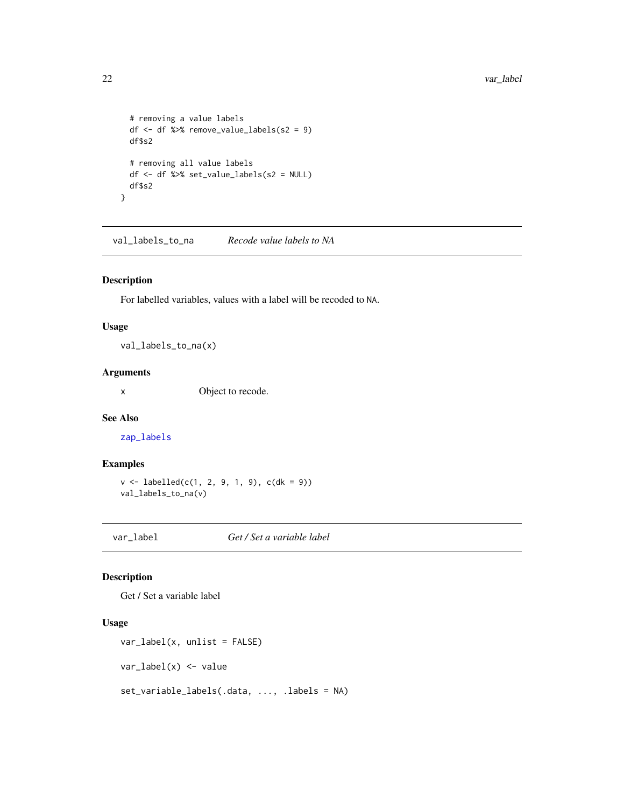```
# removing a value labels
 df <- df %>% remove_value_labels(s2 = 9)
 df$s2
 # removing all value labels
 df <- df %>% set_value_labels(s2 = NULL)
 df$s2
}
```
val\_labels\_to\_na *Recode value labels to NA*

# Description

For labelled variables, values with a label will be recoded to NA.

# Usage

val\_labels\_to\_na(x)

# Arguments

x Object to recode.

#### See Also

[zap\\_labels](#page-0-0)

#### Examples

```
v <- labelled(c(1, 2, 9, 1, 9), c(dk = 9))
val_labels_to_na(v)
```
var\_label *Get / Set a variable label*

# Description

Get / Set a variable label

# Usage

```
var_label(x, unlist = FALSE)
var_label(x) <- value
set_variable_labels(.data, ..., .labels = NA)
```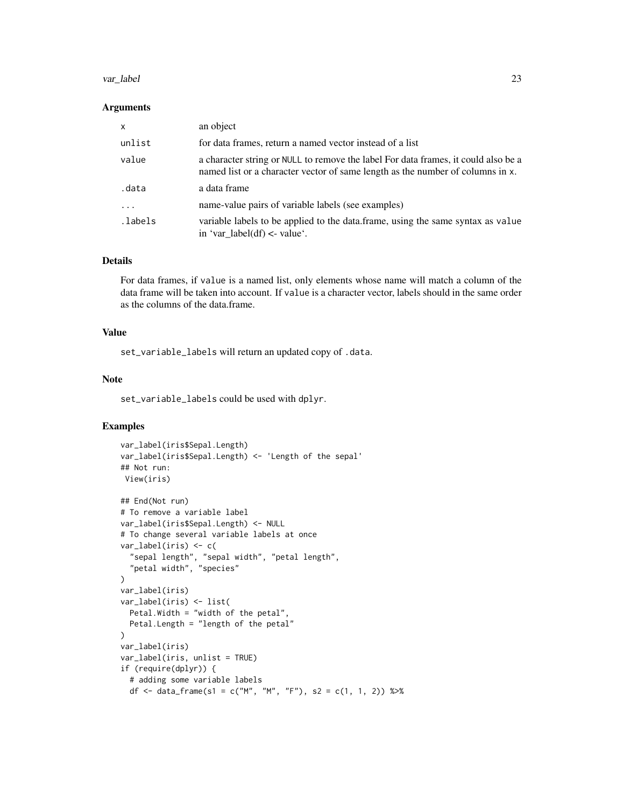#### var\_label 23

#### Arguments

| $\mathsf{x}$ | an object                                                                                                                                                            |
|--------------|----------------------------------------------------------------------------------------------------------------------------------------------------------------------|
| unlist       | for data frames, return a named vector instead of a list                                                                                                             |
| value        | a character string or NULL to remove the label For data frames, it could also be a<br>named list or a character vector of same length as the number of columns in x. |
| .data        | a data frame                                                                                                                                                         |
| .            | name-value pairs of variable labels (see examples)                                                                                                                   |
| .labels.     | variable labels to be applied to the data.frame, using the same syntax as value<br>in 'var_label(df) <- value'.                                                      |

#### Details

For data frames, if value is a named list, only elements whose name will match a column of the data frame will be taken into account. If value is a character vector, labels should in the same order as the columns of the data.frame.

# Value

set\_variable\_labels will return an updated copy of .data.

#### Note

set\_variable\_labels could be used with dplyr.

```
var_label(iris$Sepal.Length)
var_label(iris$Sepal.Length) <- 'Length of the sepal'
## Not run:
View(iris)
## End(Not run)
# To remove a variable label
var_label(iris$Sepal.Length) <- NULL
# To change several variable labels at once
var_label(iris) <- c(
  "sepal length", "sepal width", "petal length",
  "petal width", "species"
)
var_label(iris)
var_label(iris) <- list(
  Petal.Width = "width of the petal",
  Petal.Length = "length of the petal"
)
var_label(iris)
var_label(iris, unlist = TRUE)
if (require(dplyr)) {
  # adding some variable labels
  df <- data_frame(s1 = c("M", "M", "F"), s2 = c(1, 1, 2)) %>%
```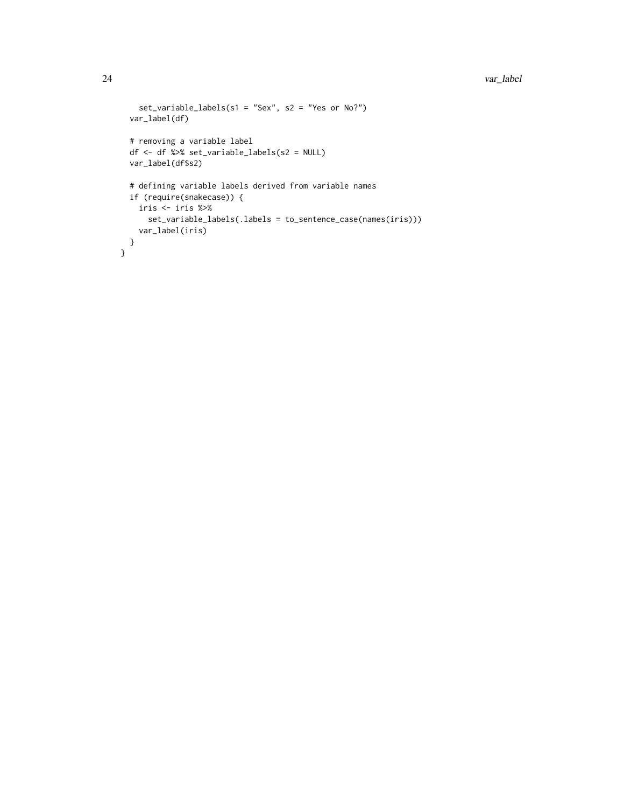```
set_variable_labels(s1 = "Sex", s2 = "Yes or No?")
  var_label(df)
  # removing a variable label
  df <- df %>% set_variable_labels(s2 = NULL)
 var_label(df$s2)
  # defining variable labels derived from variable names
 if (require(snakecase)) {
   iris <- iris %>%
      set_variable_labels(.labels = to_sentence_case(names(iris)))
   var_label(iris)
 }
}
```